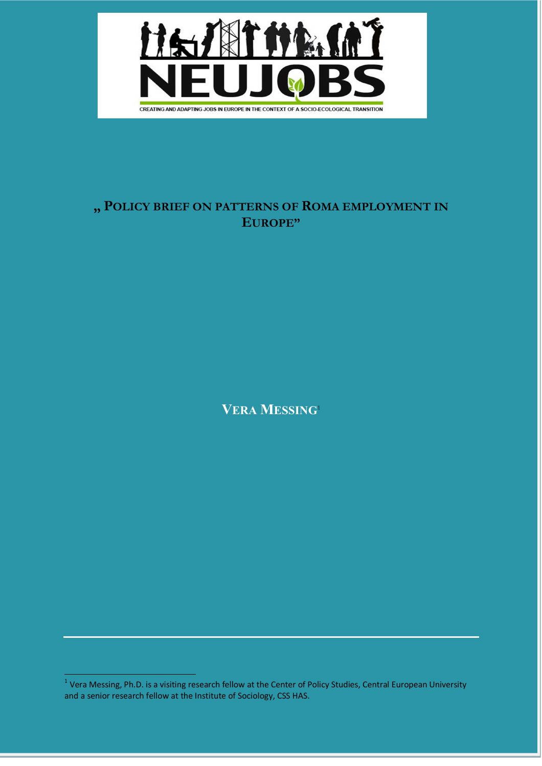

# **" POLICY BRIEF ON PATTERNS OF ROMA EMPLOYMENT IN EUROPE"**

**VERA MESSING**<sup>1</sup>

 $1$  Vera Messing, Ph.D. is a visiting research fellow at the Center of Policy Studies, Central European University and a senior research fellow at the Institute of Sociology, CSS HAS.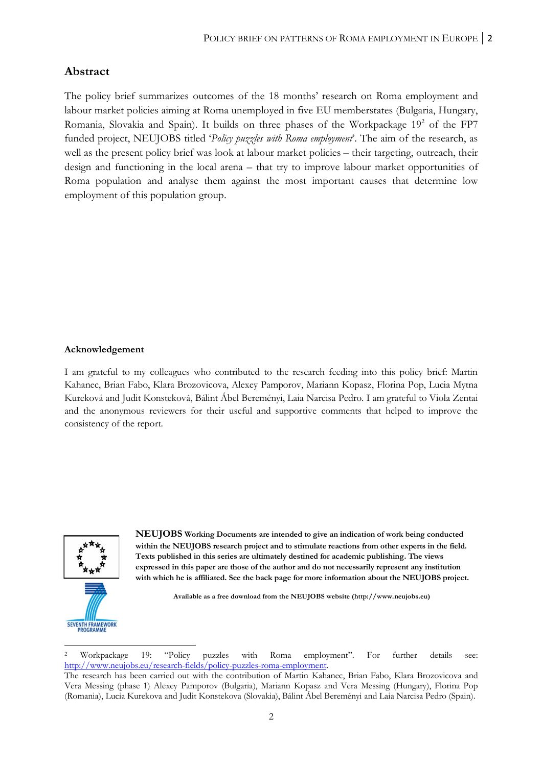# **Abstract**

The policy brief summarizes outcomes of the 18 months' research on Roma employment and labour market policies aiming at Roma unemployed in five EU memberstates (Bulgaria, Hungary, Romania, Slovakia and Spain). It builds on three phases of the Workpackage  $19<sup>2</sup>$  of the FP7 funded project, NEUJOBS titled '*Policy puzzles with Roma employment*'. The aim of the research, as well as the present policy brief was look at labour market policies – their targeting, outreach, their design and functioning in the local arena – that try to improve labour market opportunities of Roma population and analyse them against the most important causes that determine low employment of this population group.

## **Acknowledgement**

I am grateful to my colleagues who contributed to the research feeding into this policy brief: Martin Kahanec, Brian Fabo, Klara Brozovicova, Alexey Pamporov, Mariann Kopasz, Florina Pop, Lucia Mytna Kureková and Judit Konsteková, Bálint Ábel Bereményi, Laia Narcisa Pedro. I am grateful to Viola Zentai and the anonymous reviewers for their useful and supportive comments that helped to improve the consistency of the report.



 $\overline{a}$ 

**NEUJOBS Working Documents are intended to give an indication of work being conducted within the NEUJOBS research project and to stimulate reactions from other experts in the field. Texts published in this series are ultimately destined for academic publishing. The views expressed in this paper are those of the author and do not necessarily represent any institution with which he is affiliated. See the back page for more information about the NEUJOBS project.**

**Available as a free download from the NEUJOBS website (http://www.neujobs.eu)**

<sup>2</sup> Workpackage 19: "Policy puzzles with Roma employment". For further details see: http://www.neujobs.eu/research-fields/policy-puzzles-roma-employment.

The research has been carried out with the contribution of Martin Kahanec, Brian Fabo, Klara Brozovicova and Vera Messing (phase 1) Alexey Pamporov (Bulgaria), Mariann Kopasz and Vera Messing (Hungary), Florina Pop (Romania), Lucia Kurekova and Judit Konstekova (Slovakia), Bálint Ábel Bereményi and Laia Narcisa Pedro (Spain).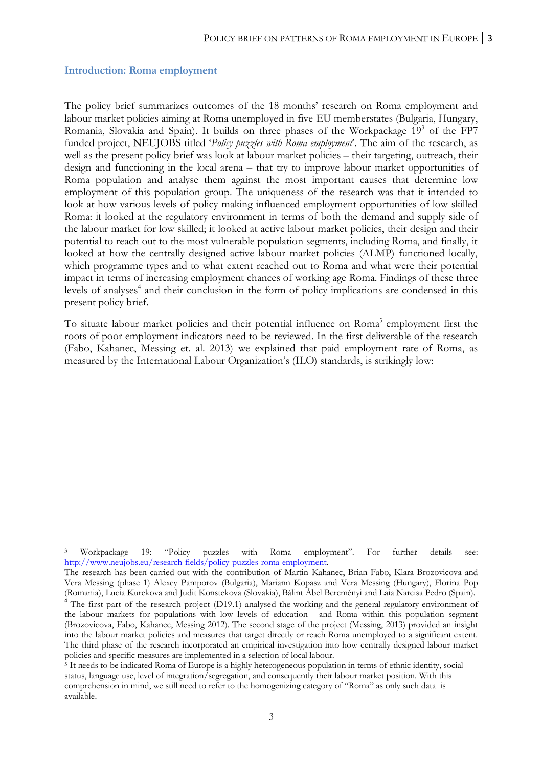#### **Introduction: Roma employment**

1

The policy brief summarizes outcomes of the 18 months' research on Roma employment and labour market policies aiming at Roma unemployed in five EU memberstates (Bulgaria, Hungary, Romania, Slovakia and Spain). It builds on three phases of the Workpackage 19<sup>3</sup> of the FP7 funded project, NEUJOBS titled '*Policy puzzles with Roma employment*'. The aim of the research, as well as the present policy brief was look at labour market policies – their targeting, outreach, their design and functioning in the local arena – that try to improve labour market opportunities of Roma population and analyse them against the most important causes that determine low employment of this population group. The uniqueness of the research was that it intended to look at how various levels of policy making influenced employment opportunities of low skilled Roma: it looked at the regulatory environment in terms of both the demand and supply side of the labour market for low skilled; it looked at active labour market policies, their design and their potential to reach out to the most vulnerable population segments, including Roma, and finally, it looked at how the centrally designed active labour market policies (ALMP) functioned locally, which programme types and to what extent reached out to Roma and what were their potential impact in terms of increasing employment chances of working age Roma. Findings of these three levels of analyses<sup>4</sup> and their conclusion in the form of policy implications are condensed in this present policy brief.

To situate labour market policies and their potential influence on Roma<sup>5</sup> employment first the roots of poor employment indicators need to be reviewed. In the first deliverable of the research (Fabo, Kahanec, Messing et. al. 2013) we explained that paid employment rate of Roma, as measured by the International Labour Organization's (ILO) standards, is strikingly low:

<sup>3</sup> Workpackage 19: "Policy puzzles with Roma employment". For further details see: http://www.neujobs.eu/research-fields/policy-puzzles-roma-employment.

The research has been carried out with the contribution of Martin Kahanec, Brian Fabo, Klara Brozovicova and Vera Messing (phase 1) Alexey Pamporov (Bulgaria), Mariann Kopasz and Vera Messing (Hungary), Florina Pop (Romania), Lucia Kurekova and Judit Konstekova (Slovakia), Bálint Ábel Bereményi and Laia Narcisa Pedro (Spain).

<sup>&</sup>lt;sup>4</sup> The first part of the research project (D19.1) analysed the working and the general regulatory environment of the labour markets for populations with low levels of education - and Roma within this population segment (Brozovicova, Fabo, Kahanec, Messing 2012). The second stage of the project (Messing, 2013) provided an insight into the labour market policies and measures that target directly or reach Roma unemployed to a significant extent. The third phase of the research incorporated an empirical investigation into how centrally designed labour market policies and specific measures are implemented in a selection of local labour.

<sup>5</sup> It needs to be indicated Roma of Europe is a highly heterogeneous population in terms of ethnic identity, social status, language use, level of integration/segregation, and consequently their labour market position. With this comprehension in mind, we still need to refer to the homogenizing category of "Roma" as only such data is available.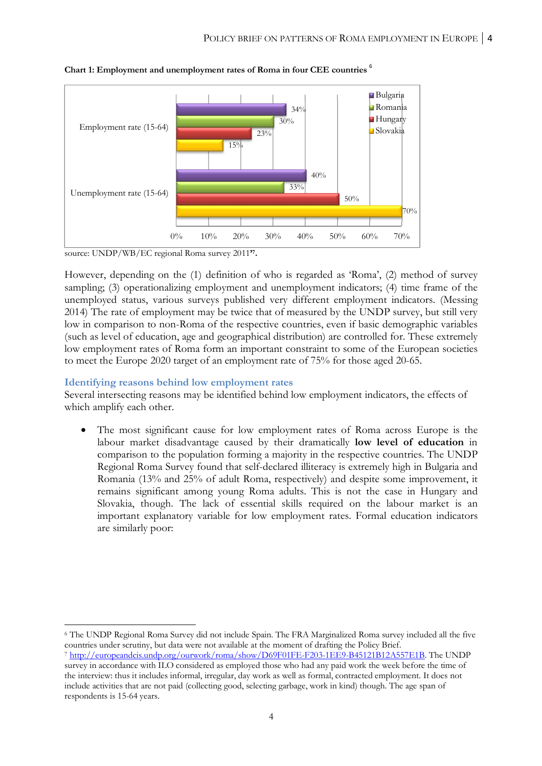

**Chart 1: Employment and unemployment rates of Roma in four CEE countries** <sup>6</sup>

source: UNDP/WB/EC regional Roma survey 2011**' 7 .**

However, depending on the (1) definition of who is regarded as 'Roma', (2) method of survey sampling; (3) operationalizing employment and unemployment indicators; (4) time frame of the unemployed status, various surveys published very different employment indicators. (Messing 2014) The rate of employment may be twice that of measured by the UNDP survey, but still very low in comparison to non-Roma of the respective countries, even if basic demographic variables (such as level of education, age and geographical distribution) are controlled for. These extremely low employment rates of Roma form an important constraint to some of the European societies to meet the Europe 2020 target of an employment rate of 75% for those aged 20-65.

#### **Identifying reasons behind low employment rates**

 $\ddot{\phantom{a}}$ 

Several intersecting reasons may be identified behind low employment indicators, the effects of which amplify each other.

 The most significant cause for low employment rates of Roma across Europe is the labour market disadvantage caused by their dramatically **low level of education** in comparison to the population forming a majority in the respective countries. The UNDP Regional Roma Survey found that self-declared illiteracy is extremely high in Bulgaria and Romania (13% and 25% of adult Roma, respectively) and despite some improvement, it remains significant among young Roma adults. This is not the case in Hungary and Slovakia, though. The lack of essential skills required on the labour market is an important explanatory variable for low employment rates. Formal education indicators are similarly poor:

<sup>6</sup> The UNDP Regional Roma Survey did not include Spain. The FRA Marginalized Roma survey included all the five countries under scrutiny, but data were not available at the moment of drafting the Policy Brief. <sup>7</sup> http://europeandcis.undp.org/ourwork/roma/show/D69F01FE-F203-1EE9-B45121B12A557E1B. The UNDP survey in accordance with ILO considered as employed those who had any paid work the week before the time of the interview: thus it includes informal, irregular, day work as well as formal, contracted employment. It does not include activities that are not paid (collecting good, selecting garbage, work in kind) though. The age span of respondents is 15-64 years.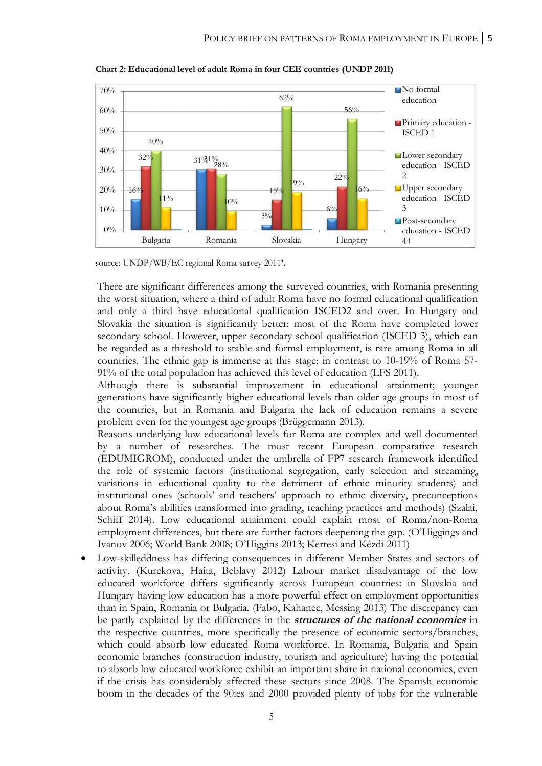

**Chart 2: Educational level of adult Roma in four CEE countries (UNDP 2011)**

source: UNDP/WB/EC regional Roma survey 2011**'.** 

There are significant differences among the surveyed countries, with Romania presenting the worst situation, where a third of adult Roma have no formal educational qualification and only a third have educational qualification ISCED2 and over. In Hungary and Slovakia the situation is significantly better: most of the Roma have completed lower secondary school. However, upper secondary school qualification (ISCED 3), which can be regarded as a threshold to stable and formal employment, is rare among Roma in all countries. The ethnic gap is immense at this stage: in contrast to 10-19% of Roma 57- 91% of the total population has achieved this level of education (LFS 2011).

Although there is substantial improvement in educational attainment; younger generations have significantly higher educational levels than older age groups in most of the countries, but in Romania and Bulgaria the lack of education remains a severe problem even for the youngest age groups (Brüggemann 2013).

Reasons underlying low educational levels for Roma are complex and well documented by a number of researches. The most recent European comparative research (EDUMIGROM), conducted under the umbrella of FP7 research framework identified the role of systemic factors (institutional segregation, early selection and streaming, variations in educational quality to the detriment of ethnic minority students) and institutional ones (schools' and teachers' approach to ethnic diversity, preconceptions about Roma's abilities transformed into grading, teaching practices and methods) (Szalai, Schiff 2014). Low educational attainment could explain most of Roma/non-Roma employment differences, but there are further factors deepening the gap. (O'Higgings and Ivanov 2006; World Bank 2008; O'Higgins 2013; Kertesi and Kézdi 2011)

 Low-skilleddness has differing consequences in different Member States and sectors of activity. (Kurekova, Haita, Beblavy 2012) Labour market disadvantage of the low educated workforce differs significantly across European countries: in Slovakia and Hungary having low education has a more powerful effect on employment opportunities than in Spain, Romania or Bulgaria. (Fabo, Kahanec, Messing 2013) The discrepancy can be partly explained by the differences in the *structures of the national economies* in the respective countries, more specifically the presence of economic sectors/branches, which could absorb low educated Roma workforce. In Romania, Bulgaria and Spain economic branches (construction industry, tourism and agriculture) having the potential to absorb low educated workforce exhibit an important share in national economies, even if the crisis has considerably affected these sectors since 2008. The Spanish economic boom in the decades of the 90ies and 2000 provided plenty of jobs for the vulnerable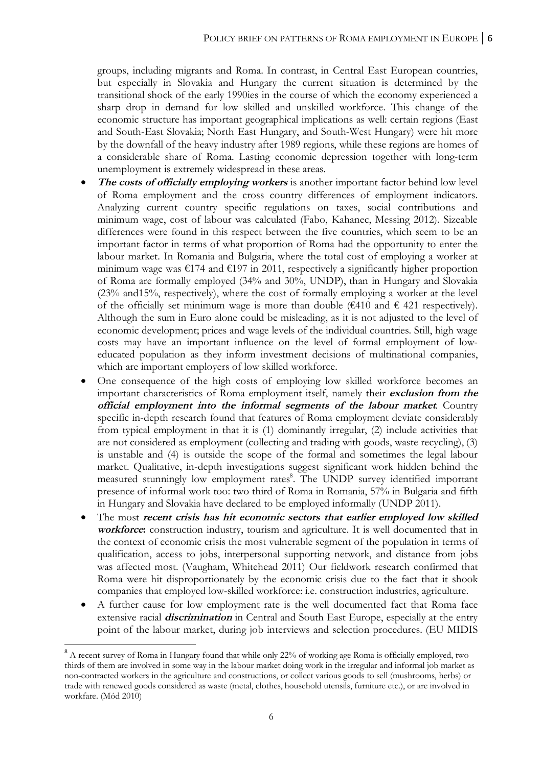groups, including migrants and Roma. In contrast, in Central East European countries, but especially in Slovakia and Hungary the current situation is determined by the transitional shock of the early 1990ies in the course of which the economy experienced a sharp drop in demand for low skilled and unskilled workforce. This change of the economic structure has important geographical implications as well: certain regions (East and South-East Slovakia; North East Hungary, and South-West Hungary) were hit more by the downfall of the heavy industry after 1989 regions, while these regions are homes of a considerable share of Roma. Lasting economic depression together with long-term unemployment is extremely widespread in these areas.

- *The costs of officially employing workers* is another important factor behind low level of Roma employment and the cross country differences of employment indicators. Analyzing current country specific regulations on taxes, social contributions and minimum wage, cost of labour was calculated (Fabo, Kahanec, Messing 2012). Sizeable differences were found in this respect between the five countries, which seem to be an important factor in terms of what proportion of Roma had the opportunity to enter the labour market. In Romania and Bulgaria, where the total cost of employing a worker at minimum wage was  $\epsilon$ 174 and  $\epsilon$ 197 in 2011, respectively a significantly higher proportion of Roma are formally employed (34% and 30%, UNDP), than in Hungary and Slovakia (23% and15%, respectively), where the cost of formally employing a worker at the level of the officially set minimum wage is more than double ( $\epsilon$ 410 and  $\epsilon$  421 respectively). Although the sum in Euro alone could be misleading, as it is not adjusted to the level of economic development; prices and wage levels of the individual countries. Still, high wage costs may have an important influence on the level of formal employment of loweducated population as they inform investment decisions of multinational companies, which are important employers of low skilled workforce.
- One consequence of the high costs of employing low skilled workforce becomes an important characteristics of Roma employment itself, namely their *exclusion from the official employment into the informal segments of the labour market*. Country specific in-depth research found that features of Roma employment deviate considerably from typical employment in that it is (1) dominantly irregular, (2) include activities that are not considered as employment (collecting and trading with goods, waste recycling), (3) is unstable and (4) is outside the scope of the formal and sometimes the legal labour market. Qualitative, in-depth investigations suggest significant work hidden behind the measured stunningly low employment rates<sup>8</sup>. The UNDP survey identified important presence of informal work too: two third of Roma in Romania, 57% in Bulgaria and fifth in Hungary and Slovakia have declared to be employed informally (UNDP 2011).
- The most *recent crisis has hit economic sectors that earlier employed low skilled workforce***:** construction industry, tourism and agriculture. It is well documented that in the context of economic crisis the most vulnerable segment of the population in terms of qualification, access to jobs, interpersonal supporting network, and distance from jobs was affected most. (Vaugham, Whitehead 2011) Our fieldwork research confirmed that Roma were hit disproportionately by the economic crisis due to the fact that it shook companies that employed low-skilled workforce: i.e. construction industries, agriculture.
- A further cause for low employment rate is the well documented fact that Roma face extensive racial *discrimination* in Central and South East Europe, especially at the entry point of the labour market, during job interviews and selection procedures. (EU MIDIS

<sup>&</sup>lt;sup>8</sup> A recent survey of Roma in Hungary found that while only 22% of working age Roma is officially employed, two thirds of them are involved in some way in the labour market doing work in the irregular and informal job market as non-contracted workers in the agriculture and constructions, or collect various goods to sell (mushrooms, herbs) or trade with renewed goods considered as waste (metal, clothes, household utensils, furniture etc.), or are involved in workfare. (Mód 2010)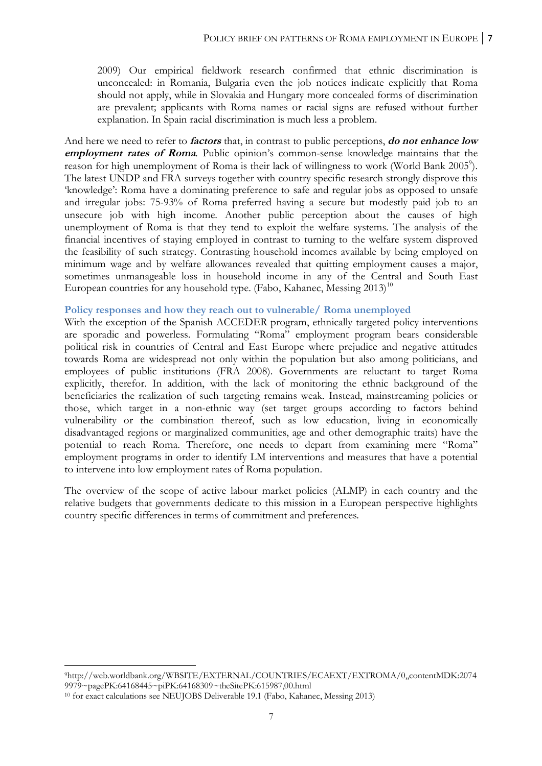2009) Our empirical fieldwork research confirmed that ethnic discrimination is unconcealed: in Romania, Bulgaria even the job notices indicate explicitly that Roma should not apply, while in Slovakia and Hungary more concealed forms of discrimination are prevalent; applicants with Roma names or racial signs are refused without further explanation. In Spain racial discrimination is much less a problem.

And here we need to refer to *factors* that, in contrast to public perceptions, *do not enhance low employment rates of Roma*. Public opinion's common-sense knowledge maintains that the reason for high unemployment of Roma is their lack of willingness to work (World Bank 2005<sup>9</sup>). The latest UNDP and FRA surveys together with country specific research strongly disprove this 'knowledge': Roma have a dominating preference to safe and regular jobs as opposed to unsafe and irregular jobs: 75-93% of Roma preferred having a secure but modestly paid job to an unsecure job with high income. Another public perception about the causes of high unemployment of Roma is that they tend to exploit the welfare systems. The analysis of the financial incentives of staying employed in contrast to turning to the welfare system disproved the feasibility of such strategy. Contrasting household incomes available by being employed on minimum wage and by welfare allowances revealed that quitting employment causes a major, sometimes unmanageable loss in household income in any of the Central and South East European countries for any household type. (Fabo, Kahanec, Messing 2013)<sup>10</sup>

#### **Policy responses and how they reach out to vulnerable/ Roma unemployed**

With the exception of the Spanish ACCEDER program, ethnically targeted policy interventions are sporadic and powerless. Formulating "Roma" employment program bears considerable political risk in countries of Central and East Europe where prejudice and negative attitudes towards Roma are widespread not only within the population but also among politicians, and employees of public institutions (FRA 2008). Governments are reluctant to target Roma explicitly, therefor. In addition, with the lack of monitoring the ethnic background of the beneficiaries the realization of such targeting remains weak. Instead, mainstreaming policies or those, which target in a non-ethnic way (set target groups according to factors behind vulnerability or the combination thereof, such as low education, living in economically disadvantaged regions or marginalized communities, age and other demographic traits) have the potential to reach Roma. Therefore, one needs to depart from examining mere "Roma" employment programs in order to identify LM interventions and measures that have a potential to intervene into low employment rates of Roma population.

The overview of the scope of active labour market policies (ALMP) in each country and the relative budgets that governments dedicate to this mission in a European perspective highlights country specific differences in terms of commitment and preferences.

<sup>9</sup>http://web.worldbank.org/WBSITE/EXTERNAL/COUNTRIES/ECAEXT/EXTROMA/0,,contentMDK:2074 9979~pagePK:64168445~piPK:64168309~theSitePK:615987,00.html

<sup>10</sup> for exact calculations see NEUJOBS Deliverable 19.1 (Fabo, Kahanec, Messing 2013)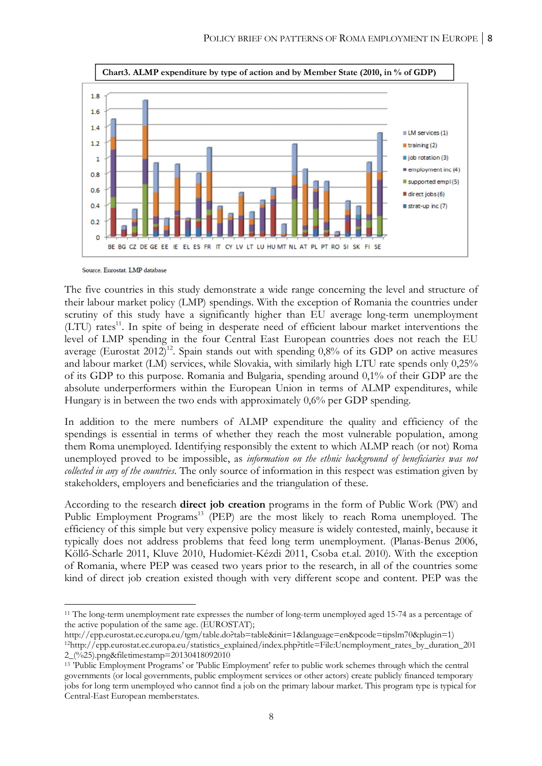

Source. Eurostat. LMP database

The five countries in this study demonstrate a wide range concerning the level and structure of their labour market policy (LMP) spendings. With the exception of Romania the countries under scrutiny of this study have a significantly higher than EU average long-term unemployment (LTU) rates<sup>11</sup>. In spite of being in desperate need of efficient labour market interventions the level of LMP spending in the four Central East European countries does not reach the EU average (Eurostat 2012)<sup>12</sup>. Spain stands out with spending  $0,8\%$  of its GDP on active measures and labour market (LM) services, while Slovakia, with similarly high LTU rate spends only 0,25% of its GDP to this purpose. Romania and Bulgaria, spending around 0,1% of their GDP are the absolute underperformers within the European Union in terms of ALMP expenditures, while Hungary is in between the two ends with approximately 0,6% per GDP spending.

In addition to the mere numbers of ALMP expenditure the quality and efficiency of the spendings is essential in terms of whether they reach the most vulnerable population, among them Roma unemployed. Identifying responsibly the extent to which ALMP reach (or not) Roma unemployed proved to be impossible, as *information on the ethnic background of beneficiaries was not collected in any of the countries*. The only source of information in this respect was estimation given by stakeholders, employers and beneficiaries and the triangulation of these.

According to the research **direct job creation** programs in the form of Public Work (PW) and Public Employment Programs<sup>13</sup> (PEP) are the most likely to reach Roma unemployed. The efficiency of this simple but very expensive policy measure is widely contested, mainly, because it typically does not address problems that feed long term unemployment. (Planas-Benus 2006, Köllő-Scharle 2011, Kluve 2010, Hudomiet-Kézdi 2011, Csoba et.al. 2010). With the exception of Romania, where PEP was ceased two years prior to the research, in all of the countries some kind of direct job creation existed though with very different scope and content. PEP was the

 $\overline{a}$ <sup>11</sup> The long-term unemployment rate expresses the number of long-term unemployed aged 15-74 as a percentage of the active population of the same age. (EUROSTAT);

http://epp.eurostat.ec.europa.eu/tgm/table.do?tab=table&init=1&language=en&pcode=tipslm70&plugin=1)

<sup>12</sup>http://epp.eurostat.ec.europa.eu/statistics\_explained/index.php?title=File:Unemployment\_rates\_by\_duration\_201 2\_(%25).png&filetimestamp=20130418092010

<sup>13</sup> 'Public Employment Programs' or 'Public Employment' refer to public work schemes through which the central governments (or local governments, public employment services or other actors) create publicly financed temporary jobs for long term unemployed who cannot find a job on the primary labour market. This program type is typical for Central-East European memberstates.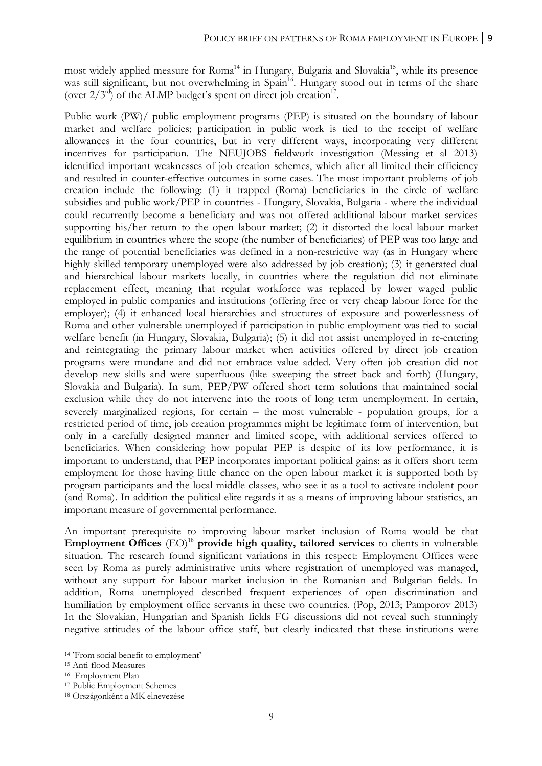most widely applied measure for  $Roma^{14}$  in Hungary, Bulgaria and Slovakia<sup>15</sup>, while its presence was still significant, but not overwhelming in Spain<sup>16</sup>. Hungary stood out in terms of the share (over  $2/3^{rd}$ ) of the ALMP budget's spent on direct job creation<sup>17</sup>.

Public work (PW)/ public employment programs (PEP) is situated on the boundary of labour market and welfare policies; participation in public work is tied to the receipt of welfare allowances in the four countries, but in very different ways, incorporating very different incentives for participation. The NEUJOBS fieldwork investigation (Messing et al 2013) identified important weaknesses of job creation schemes, which after all limited their efficiency and resulted in counter-effective outcomes in some cases. The most important problems of job creation include the following: (1) it trapped (Roma) beneficiaries in the circle of welfare subsidies and public work/PEP in countries - Hungary, Slovakia, Bulgaria - where the individual could recurrently become a beneficiary and was not offered additional labour market services supporting his/her return to the open labour market; (2) it distorted the local labour market equilibrium in countries where the scope (the number of beneficiaries) of PEP was too large and the range of potential beneficiaries was defined in a non-restrictive way (as in Hungary where highly skilled temporary unemployed were also addressed by job creation); (3) it generated dual and hierarchical labour markets locally, in countries where the regulation did not eliminate replacement effect, meaning that regular workforce was replaced by lower waged public employed in public companies and institutions (offering free or very cheap labour force for the employer); (4) it enhanced local hierarchies and structures of exposure and powerlessness of Roma and other vulnerable unemployed if participation in public employment was tied to social welfare benefit (in Hungary, Slovakia, Bulgaria); (5) it did not assist unemployed in re-entering and reintegrating the primary labour market when activities offered by direct job creation programs were mundane and did not embrace value added. Very often job creation did not develop new skills and were superfluous (like sweeping the street back and forth) (Hungary, Slovakia and Bulgaria). In sum, PEP/PW offered short term solutions that maintained social exclusion while they do not intervene into the roots of long term unemployment. In certain, severely marginalized regions, for certain – the most vulnerable - population groups, for a restricted period of time, job creation programmes might be legitimate form of intervention, but only in a carefully designed manner and limited scope, with additional services offered to beneficiaries. When considering how popular PEP is despite of its low performance, it is important to understand, that PEP incorporates important political gains: as it offers short term employment for those having little chance on the open labour market it is supported both by program participants and the local middle classes, who see it as a tool to activate indolent poor (and Roma). In addition the political elite regards it as a means of improving labour statistics, an important measure of governmental performance.

An important prerequisite to improving labour market inclusion of Roma would be that **Employment Offices** (EO)<sup>18</sup> **provide high quality, tailored services** to clients in vulnerable situation. The research found significant variations in this respect: Employment Offices were seen by Roma as purely administrative units where registration of unemployed was managed, without any support for labour market inclusion in the Romanian and Bulgarian fields. In addition, Roma unemployed described frequent experiences of open discrimination and humiliation by employment office servants in these two countries. (Pop, 2013; Pamporov 2013) In the Slovakian, Hungarian and Spanish fields FG discussions did not reveal such stunningly negative attitudes of the labour office staff, but clearly indicated that these institutions were

<sup>14</sup> 'From social benefit to employment'

<sup>15</sup> Anti-flood Measures

<sup>16</sup> Employment Plan

<sup>17</sup> Public Employment Schemes

<sup>18</sup> Országonként a MK elnevezése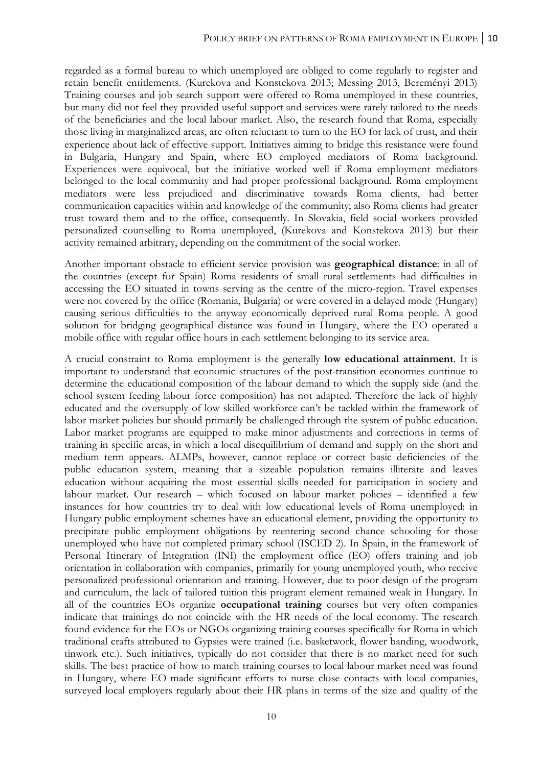regarded as a formal bureau to which unemployed are obliged to come regularly to register and retain benefit entitlements. (Kurekova and Konstekova 2013; Messing 2013, Bereményi 2013) Training courses and job search support were offered to Roma unemployed in these countries, but many did not feel they provided useful support and services were rarely tailored to the needs of the beneficiaries and the local labour market. Also, the research found that Roma, especially those living in marginalized areas, are often reluctant to turn to the EO for lack of trust, and their experience about lack of effective support. Initiatives aiming to bridge this resistance were found in Bulgaria, Hungary and Spain, where EO employed mediators of Roma background. Experiences were equivocal, but the initiative worked well if Roma employment mediators belonged to the local community and had proper professional background. Roma employment mediators were less prejudiced and discriminative towards Roma clients, had better communication capacities within and knowledge of the community; also Roma clients had greater trust toward them and to the office, consequently. In Slovakia, field social workers provided personalized counselling to Roma unemployed, (Kurekova and Konstekova 2013) but their activity remained arbitrary, depending on the commitment of the social worker.

Another important obstacle to efficient service provision was **geographical distance**: in all of the countries (except for Spain) Roma residents of small rural settlements had difficulties in accessing the EO situated in towns serving as the centre of the micro-region. Travel expenses were not covered by the office (Romania, Bulgaria) or were covered in a delayed mode (Hungary) causing serious difficulties to the anyway economically deprived rural Roma people. A good solution for bridging geographical distance was found in Hungary, where the EO operated a mobile office with regular office hours in each settlement belonging to its service area.

A crucial constraint to Roma employment is the generally **low educational attainment**. It is important to understand that economic structures of the post-transition economies continue to determine the educational composition of the labour demand to which the supply side (and the school system feeding labour force composition) has not adapted. Therefore the lack of highly educated and the oversupply of low skilled workforce can't be tackled within the framework of labor market policies but should primarily be challenged through the system of public education. Labor market programs are equipped to make minor adjustments and corrections in terms of training in specific areas, in which a local disequilibrium of demand and supply on the short and medium term appears. ALMPs, however, cannot replace or correct basic deficiencies of the public education system, meaning that a sizeable population remains illiterate and leaves education without acquiring the most essential skills needed for participation in society and labour market. Our research – which focused on labour market policies – identified a few instances for how countries try to deal with low educational levels of Roma unemployed: in Hungary public employment schemes have an educational element, providing the opportunity to precipitate public employment obligations by reentering second chance schooling for those unemployed who have not completed primary school (ISCED 2). In Spain, in the framework of Personal Itinerary of Integration (INI) the employment office (EO) offers training and job orientation in collaboration with companies, primarily for young unemployed youth, who receive personalized professional orientation and training. However, due to poor design of the program and curriculum, the lack of tailored tuition this program element remained weak in Hungary. In all of the countries EOs organize **occupational training** courses but very often companies indicate that trainings do not coincide with the HR needs of the local economy. The research found evidence for the EOs or NGOs organizing training courses specifically for Roma in which traditional crafts attributed to Gypsies were trained (i.e. basketwork, flower banding, woodwork, tinwork etc.). Such initiatives, typically do not consider that there is no market need for such skills. The best practice of how to match training courses to local labour market need was found in Hungary, where EO made significant efforts to nurse close contacts with local companies, surveyed local employers regularly about their HR plans in terms of the size and quality of the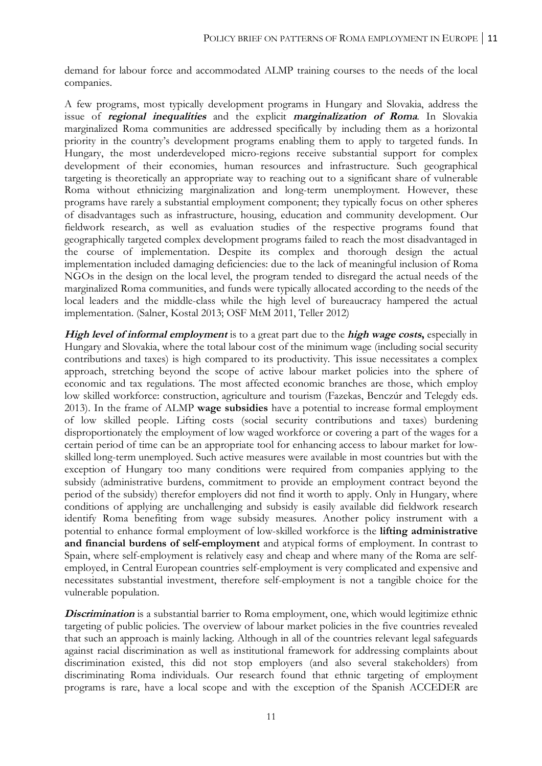demand for labour force and accommodated ALMP training courses to the needs of the local companies.

A few programs, most typically development programs in Hungary and Slovakia, address the issue of *regional inequalities* and the explicit *marginalization of Roma*. In Slovakia marginalized Roma communities are addressed specifically by including them as a horizontal priority in the country's development programs enabling them to apply to targeted funds. In Hungary, the most underdeveloped micro-regions receive substantial support for complex development of their economies, human resources and infrastructure. Such geographical targeting is theoretically an appropriate way to reaching out to a significant share of vulnerable Roma without ethnicizing marginalization and long-term unemployment. However, these programs have rarely a substantial employment component; they typically focus on other spheres of disadvantages such as infrastructure, housing, education and community development. Our fieldwork research, as well as evaluation studies of the respective programs found that geographically targeted complex development programs failed to reach the most disadvantaged in the course of implementation. Despite its complex and thorough design the actual implementation included damaging deficiencies: due to the lack of meaningful inclusion of Roma NGOs in the design on the local level, the program tended to disregard the actual needs of the marginalized Roma communities, and funds were typically allocated according to the needs of the local leaders and the middle-class while the high level of bureaucracy hampered the actual implementation. (Salner, Kostal 2013; OSF MtM 2011, Teller 2012)

*High level of informal employment* is to a great part due to the *high wage costs***,** especially in Hungary and Slovakia, where the total labour cost of the minimum wage (including social security contributions and taxes) is high compared to its productivity. This issue necessitates a complex approach, stretching beyond the scope of active labour market policies into the sphere of economic and tax regulations. The most affected economic branches are those, which employ low skilled workforce: construction, agriculture and tourism (Fazekas, Benczúr and Telegdy eds. 2013). In the frame of ALMP **wage subsidies** have a potential to increase formal employment of low skilled people. Lifting costs (social security contributions and taxes) burdening disproportionately the employment of low waged workforce or covering a part of the wages for a certain period of time can be an appropriate tool for enhancing access to labour market for lowskilled long-term unemployed. Such active measures were available in most countries but with the exception of Hungary too many conditions were required from companies applying to the subsidy (administrative burdens, commitment to provide an employment contract beyond the period of the subsidy) therefor employers did not find it worth to apply. Only in Hungary, where conditions of applying are unchallenging and subsidy is easily available did fieldwork research identify Roma benefiting from wage subsidy measures. Another policy instrument with a potential to enhance formal employment of low-skilled workforce is the **lifting administrative and financial burdens of self-employment** and atypical forms of employment. In contrast to Spain, where self-employment is relatively easy and cheap and where many of the Roma are selfemployed, in Central European countries self-employment is very complicated and expensive and necessitates substantial investment, therefore self-employment is not a tangible choice for the vulnerable population.

**Discrimination** is a substantial barrier to Roma employment, one, which would legitimize ethnic targeting of public policies. The overview of labour market policies in the five countries revealed that such an approach is mainly lacking. Although in all of the countries relevant legal safeguards against racial discrimination as well as institutional framework for addressing complaints about discrimination existed, this did not stop employers (and also several stakeholders) from discriminating Roma individuals. Our research found that ethnic targeting of employment programs is rare, have a local scope and with the exception of the Spanish ACCEDER are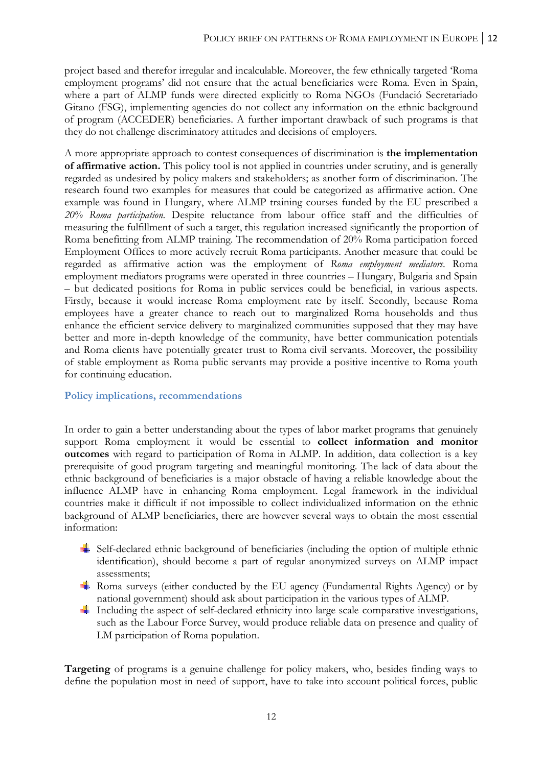project based and therefor irregular and incalculable. Moreover, the few ethnically targeted 'Roma employment programs' did not ensure that the actual beneficiaries were Roma. Even in Spain, where a part of ALMP funds were directed explicitly to Roma NGOs (Fundació Secretariado Gitano (FSG), implementing agencies do not collect any information on the ethnic background of program (ACCEDER) beneficiaries. A further important drawback of such programs is that they do not challenge discriminatory attitudes and decisions of employers.

A more appropriate approach to contest consequences of discrimination is **the implementation of affirmative action.** This policy tool is not applied in countries under scrutiny, and is generally regarded as undesired by policy makers and stakeholders; as another form of discrimination. The research found two examples for measures that could be categorized as affirmative action. One example was found in Hungary, where ALMP training courses funded by the EU prescribed a *20% Roma participation*. Despite reluctance from labour office staff and the difficulties of measuring the fulfillment of such a target, this regulation increased significantly the proportion of Roma benefitting from ALMP training. The recommendation of 20% Roma participation forced Employment Offices to more actively recruit Roma participants. Another measure that could be regarded as affirmative action was the employment of *Roma employment mediators*. Roma employment mediators programs were operated in three countries – Hungary, Bulgaria and Spain – but dedicated positions for Roma in public services could be beneficial, in various aspects. Firstly, because it would increase Roma employment rate by itself. Secondly, because Roma employees have a greater chance to reach out to marginalized Roma households and thus enhance the efficient service delivery to marginalized communities supposed that they may have better and more in-depth knowledge of the community, have better communication potentials and Roma clients have potentially greater trust to Roma civil servants. Moreover, the possibility of stable employment as Roma public servants may provide a positive incentive to Roma youth for continuing education.

# **Policy implications, recommendations**

In order to gain a better understanding about the types of labor market programs that genuinely support Roma employment it would be essential to **collect information and monitor outcomes** with regard to participation of Roma in ALMP. In addition, data collection is a key prerequisite of good program targeting and meaningful monitoring. The lack of data about the ethnic background of beneficiaries is a major obstacle of having a reliable knowledge about the influence ALMP have in enhancing Roma employment. Legal framework in the individual countries make it difficult if not impossible to collect individualized information on the ethnic background of ALMP beneficiaries, there are however several ways to obtain the most essential information:

- Self-declared ethnic background of beneficiaries (including the option of multiple ethnic identification), should become a part of regular anonymized surveys on ALMP impact assessments;
- Roma surveys (either conducted by the EU agency (Fundamental Rights Agency) or by national government) should ask about participation in the various types of ALMP.
- Including the aspect of self-declared ethnicity into large scale comparative investigations, such as the Labour Force Survey, would produce reliable data on presence and quality of LM participation of Roma population.

**Targeting** of programs is a genuine challenge for policy makers, who, besides finding ways to define the population most in need of support, have to take into account political forces, public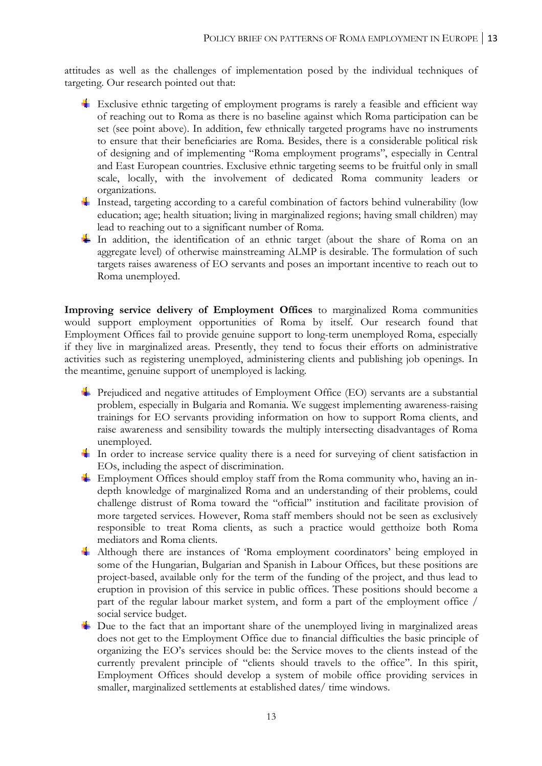attitudes as well as the challenges of implementation posed by the individual techniques of targeting. Our research pointed out that:

- Exclusive ethnic targeting of employment programs is rarely a feasible and efficient way of reaching out to Roma as there is no baseline against which Roma participation can be set (see point above). In addition, few ethnically targeted programs have no instruments to ensure that their beneficiaries are Roma. Besides, there is a considerable political risk of designing and of implementing "Roma employment programs", especially in Central and East European countries. Exclusive ethnic targeting seems to be fruitful only in small scale, locally, with the involvement of dedicated Roma community leaders or organizations.
- Instead, targeting according to a careful combination of factors behind vulnerability (low education; age; health situation; living in marginalized regions; having small children) may lead to reaching out to a significant number of Roma.
- In addition, the identification of an ethnic target (about the share of Roma on an aggregate level) of otherwise mainstreaming ALMP is desirable. The formulation of such targets raises awareness of EO servants and poses an important incentive to reach out to Roma unemployed.

**Improving service delivery of Employment Offices** to marginalized Roma communities would support employment opportunities of Roma by itself. Our research found that Employment Offices fail to provide genuine support to long-term unemployed Roma, especially if they live in marginalized areas. Presently, they tend to focus their efforts on administrative activities such as registering unemployed, administering clients and publishing job openings. In the meantime, genuine support of unemployed is lacking.

- **Prejudiced and negative attitudes of Employment Office (EO) servants are a substantial** problem, especially in Bulgaria and Romania. We suggest implementing awareness-raising trainings for EO servants providing information on how to support Roma clients, and raise awareness and sensibility towards the multiply intersecting disadvantages of Roma unemployed.
- In order to increase service quality there is a need for surveying of client satisfaction in EOs, including the aspect of discrimination.
- Employment Offices should employ staff from the Roma community who, having an indepth knowledge of marginalized Roma and an understanding of their problems, could challenge distrust of Roma toward the "official" institution and facilitate provision of more targeted services. However, Roma staff members should not be seen as exclusively responsible to treat Roma clients, as such a practice would getthoize both Roma mediators and Roma clients.
- Although there are instances of 'Roma employment coordinators' being employed in some of the Hungarian, Bulgarian and Spanish in Labour Offices, but these positions are project-based, available only for the term of the funding of the project, and thus lead to eruption in provision of this service in public offices. These positions should become a part of the regular labour market system, and form a part of the employment office / social service budget.
- $\pm$  Due to the fact that an important share of the unemployed living in marginalized areas does not get to the Employment Office due to financial difficulties the basic principle of organizing the EO's services should be: the Service moves to the clients instead of the currently prevalent principle of "clients should travels to the office". In this spirit, Employment Offices should develop a system of mobile office providing services in smaller, marginalized settlements at established dates/ time windows.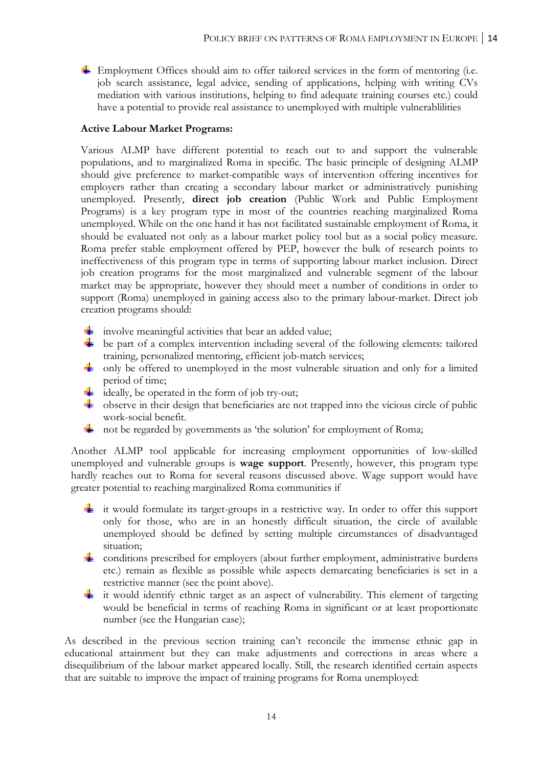$\pm$  Employment Offices should aim to offer tailored services in the form of mentoring (i.e. job search assistance, legal advice, sending of applications, helping with writing CVs mediation with various institutions, helping to find adequate training courses etc.) could have a potential to provide real assistance to unemployed with multiple vulnerablilities

# **Active Labour Market Programs:**

Various ALMP have different potential to reach out to and support the vulnerable populations, and to marginalized Roma in specific. The basic principle of designing ALMP should give preference to market-compatible ways of intervention offering incentives for employers rather than creating a secondary labour market or administratively punishing unemployed. Presently, **direct job creation** (Public Work and Public Employment Programs) is a key program type in most of the countries reaching marginalized Roma unemployed. While on the one hand it has not facilitated sustainable employment of Roma, it should be evaluated not only as a labour market policy tool but as a social policy measure. Roma prefer stable employment offered by PEP, however the bulk of research points to ineffectiveness of this program type in terms of supporting labour market inclusion. Direct job creation programs for the most marginalized and vulnerable segment of the labour market may be appropriate, however they should meet a number of conditions in order to support (Roma) unemployed in gaining access also to the primary labour-market. Direct job creation programs should:

- $\overline{\textbf{I}}$  involve meaningful activities that bear an added value;
- $\pm$  be part of a complex intervention including several of the following elements: tailored training, personalized mentoring, efficient job-match services;
- only be offered to unemployed in the most vulnerable situation and only for a limited period of time;
- **The Second Second** ideally, be operated in the form of job try-out;
- observe in their design that beneficiaries are not trapped into the vicious circle of public work-social benefit.
- $\Box$  not be regarded by governments as 'the solution' for employment of Roma;

Another ALMP tool applicable for increasing employment opportunities of low-skilled unemployed and vulnerable groups is **wage support**. Presently, however, this program type hardly reaches out to Roma for several reasons discussed above. Wage support would have greater potential to reaching marginalized Roma communities if

- $\pm$  it would formulate its target-groups in a restrictive way. In order to offer this support only for those, who are in an honestly difficult situation, the circle of available unemployed should be defined by setting multiple circumstances of disadvantaged situation;
- conditions prescribed for employers (about further employment, administrative burdens etc.) remain as flexible as possible while aspects demarcating beneficiaries is set in a restrictive manner (see the point above).
- $\frac{1}{\sqrt{2}}$  it would identify ethnic target as an aspect of vulnerability. This element of targeting would be beneficial in terms of reaching Roma in significant or at least proportionate number (see the Hungarian case);

As described in the previous section training can't reconcile the immense ethnic gap in educational attainment but they can make adjustments and corrections in areas where a disequilibrium of the labour market appeared locally. Still, the research identified certain aspects that are suitable to improve the impact of training programs for Roma unemployed: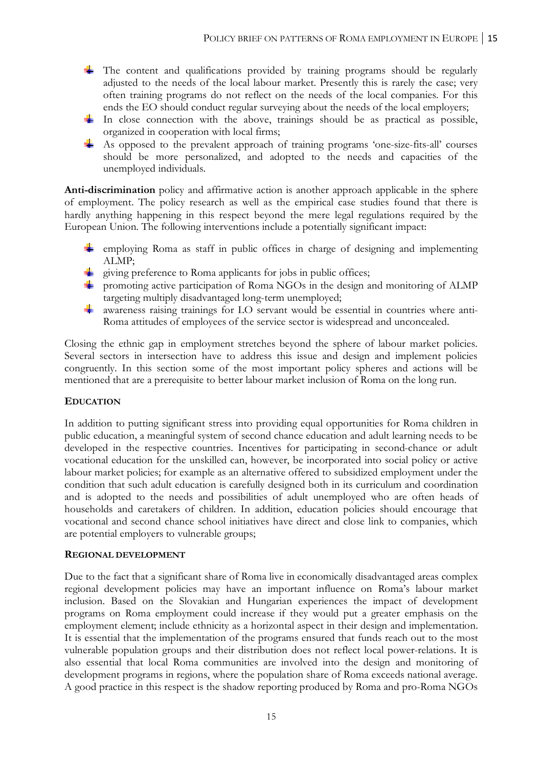- $\pm$  The content and qualifications provided by training programs should be regularly adjusted to the needs of the local labour market. Presently this is rarely the case; very often training programs do not reflect on the needs of the local companies. For this ends the EO should conduct regular surveying about the needs of the local employers;
- $\pm$  In close connection with the above, trainings should be as practical as possible, organized in cooperation with local firms;
- As opposed to the prevalent approach of training programs 'one-size-fits-all' courses should be more personalized, and adopted to the needs and capacities of the unemployed individuals.

**Anti-discrimination** policy and affirmative action is another approach applicable in the sphere of employment. The policy research as well as the empirical case studies found that there is hardly anything happening in this respect beyond the mere legal regulations required by the European Union. The following interventions include a potentially significant impact:

- $\Box$  employing Roma as staff in public offices in charge of designing and implementing ALMP;
- giving preference to Roma applicants for jobs in public offices;
- **+** promoting active participation of Roma NGOs in the design and monitoring of ALMP targeting multiply disadvantaged long-term unemployed;
- awareness raising trainings for LO servant would be essential in countries where anti-Roma attitudes of employees of the service sector is widespread and unconcealed.

Closing the ethnic gap in employment stretches beyond the sphere of labour market policies. Several sectors in intersection have to address this issue and design and implement policies congruently. In this section some of the most important policy spheres and actions will be mentioned that are a prerequisite to better labour market inclusion of Roma on the long run.

## **EDUCATION**

In addition to putting significant stress into providing equal opportunities for Roma children in public education, a meaningful system of second chance education and adult learning needs to be developed in the respective countries. Incentives for participating in second-chance or adult vocational education for the unskilled can, however, be incorporated into social policy or active labour market policies; for example as an alternative offered to subsidized employment under the condition that such adult education is carefully designed both in its curriculum and coordination and is adopted to the needs and possibilities of adult unemployed who are often heads of households and caretakers of children. In addition, education policies should encourage that vocational and second chance school initiatives have direct and close link to companies, which are potential employers to vulnerable groups;

## **REGIONAL DEVELOPMENT**

Due to the fact that a significant share of Roma live in economically disadvantaged areas complex regional development policies may have an important influence on Roma's labour market inclusion. Based on the Slovakian and Hungarian experiences the impact of development programs on Roma employment could increase if they would put a greater emphasis on the employment element; include ethnicity as a horizontal aspect in their design and implementation. It is essential that the implementation of the programs ensured that funds reach out to the most vulnerable population groups and their distribution does not reflect local power-relations. It is also essential that local Roma communities are involved into the design and monitoring of development programs in regions, where the population share of Roma exceeds national average. A good practice in this respect is the shadow reporting produced by Roma and pro-Roma NGOs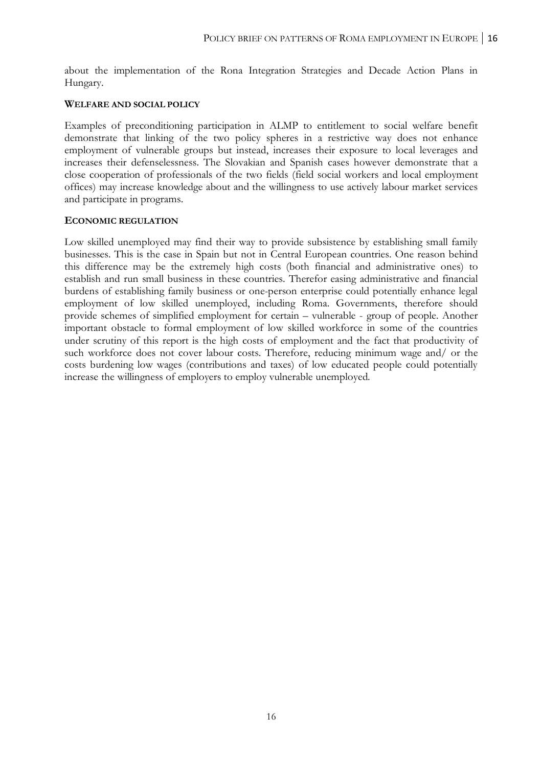about the implementation of the Rona Integration Strategies and Decade Action Plans in Hungary.

### **WELFARE AND SOCIAL POLICY**

Examples of preconditioning participation in ALMP to entitlement to social welfare benefit demonstrate that linking of the two policy spheres in a restrictive way does not enhance employment of vulnerable groups but instead, increases their exposure to local leverages and increases their defenselessness. The Slovakian and Spanish cases however demonstrate that a close cooperation of professionals of the two fields (field social workers and local employment offices) may increase knowledge about and the willingness to use actively labour market services and participate in programs.

#### **ECONOMIC REGULATION**

Low skilled unemployed may find their way to provide subsistence by establishing small family businesses. This is the case in Spain but not in Central European countries. One reason behind this difference may be the extremely high costs (both financial and administrative ones) to establish and run small business in these countries. Therefor easing administrative and financial burdens of establishing family business or one-person enterprise could potentially enhance legal employment of low skilled unemployed, including Roma. Governments, therefore should provide schemes of simplified employment for certain – vulnerable - group of people. Another important obstacle to formal employment of low skilled workforce in some of the countries under scrutiny of this report is the high costs of employment and the fact that productivity of such workforce does not cover labour costs. Therefore, reducing minimum wage and/ or the costs burdening low wages (contributions and taxes) of low educated people could potentially increase the willingness of employers to employ vulnerable unemployed.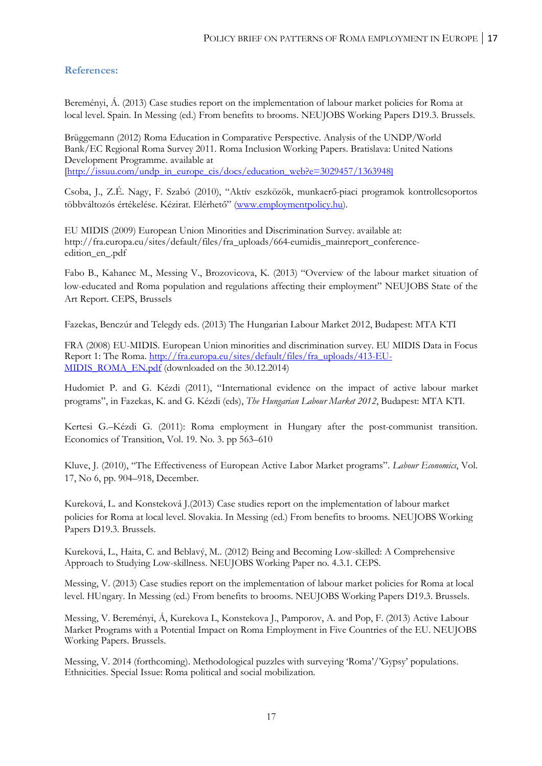# **References:**

Bereményi, Á. (2013) Case studies report on the implementation of labour market policies for Roma at local level. Spain. In Messing (ed.) From benefits to brooms. NEUJOBS Working Papers D19.3. Brussels.

Brüggemann (2012) Roma Education in Comparative Perspective. Analysis of the UNDP/World Bank/EC Regional Roma Survey 2011. Roma Inclusion Working Papers. Bratislava: United Nations Development Programme. available at [http://issuu.com/undp\_in\_europe\_cis/docs/education\_web?e=3029457/1363948]

Csoba, J., Z.É. Nagy, F. Szabó (2010), "Aktív eszközök, munkaerő-piaci programok kontrollcsoportos többváltozós értékelése. Kézirat. Elérhető" (www.employmentpolicy.hu).

EU MIDIS (2009) European Union Minorities and Discrimination Survey. available at: http://fra.europa.eu/sites/default/files/fra\_uploads/664-eumidis\_mainreport\_conferenceedition\_en\_.pdf

Fabo B., Kahanec M., Messing V., Brozovicova, K. (2013) "Overview of the labour market situation of low-educated and Roma population and regulations affecting their employment" NEUJOBS State of the Art Report. CEPS, Brussels

Fazekas, Benczúr and Telegdy eds. (2013) The Hungarian Labour Market 2012, Budapest: MTA KTI

FRA (2008) EU-MIDIS. European Union minorities and discrimination survey. EU MIDIS Data in Focus Report 1: The Roma. http://fra.europa.eu/sites/default/files/fra\_uploads/413-EU-MIDIS\_ROMA\_EN.pdf (downloaded on the 30.12.2014)

Hudomiet P. and G. Kézdi (2011), "International evidence on the impact of active labour market programs", in Fazekas, K. and G. Kézdi (eds), *The Hungarian Labour Market 2012*, Budapest: MTA KTI.

Kertesi G.–Kézdi G. (2011): Roma employment in Hungary after the post-communist transition. Economics of Transition, Vol. 19. No. 3. pp 563–610

Kluve, J. (2010), "The Effectiveness of European Active Labor Market programs". *Labour Economics*, Vol. 17, No 6, pp. 904–918, December.

Kureková, L. and Konsteková J.(2013) Case studies report on the implementation of labour market policies for Roma at local level. Slovakia. In Messing (ed.) From benefits to brooms. NEUJOBS Working Papers D19.3. Brussels.

Kureková, L., Haita, C. and Beblavý, M.. (2012) Being and Becoming Low-skilled: A Comprehensive Approach to Studying Low-skillness. NEUJOBS Working Paper no. 4.3.1. CEPS.

Messing, V. (2013) Case studies report on the implementation of labour market policies for Roma at local level. HUngary. In Messing (ed.) From benefits to brooms. NEUJOBS Working Papers D19.3. Brussels.

Messing, V. Bereményi, Á, Kurekova L, Konstekova J., Pamporov, A. and Pop, F. (2013) Active Labour Market Programs with a Potential Impact on Roma Employment in Five Countries of the EU. NEUJOBS Working Papers. Brussels.

Messing, V. 2014 (forthcoming). Methodological puzzles with surveying 'Roma'/'Gypsy' populations. Ethnicities. Special Issue: Roma political and social mobilization.